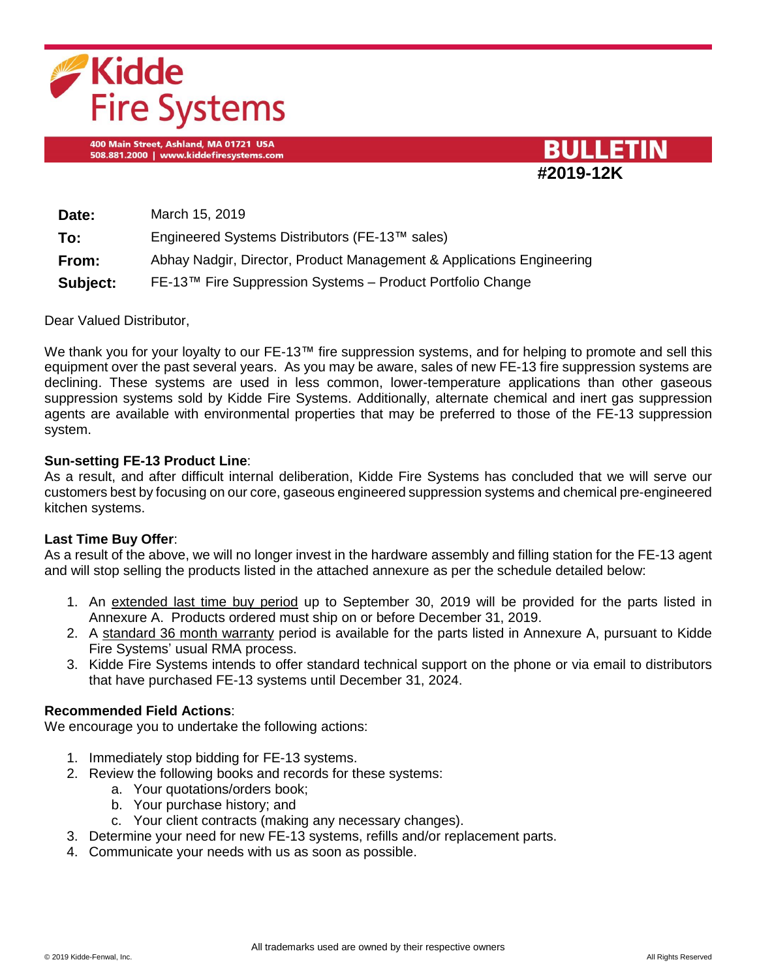

400 Main Street, Ashland, MA 01721 USA 508.881.2000 | www.kiddefiresystems.com



| Date:    | March 15, 2019                                                        |
|----------|-----------------------------------------------------------------------|
| To:      | Engineered Systems Distributors (FE-13™ sales)                        |
| From:    | Abhay Nadgir, Director, Product Management & Applications Engineering |
| Subject: | FE-13™ Fire Suppression Systems - Product Portfolio Change            |

Dear Valued Distributor,

We thank you for your loyalty to our FE-13™ fire suppression systems, and for helping to promote and sell this equipment over the past several years. As you may be aware, sales of new FE-13 fire suppression systems are declining. These systems are used in less common, lower-temperature applications than other gaseous suppression systems sold by Kidde Fire Systems. Additionally, alternate chemical and inert gas suppression agents are available with environmental properties that may be preferred to those of the FE-13 suppression system.

### **Sun-setting FE-13 Product Line**:

As a result, and after difficult internal deliberation, Kidde Fire Systems has concluded that we will serve our customers best by focusing on our core, gaseous engineered suppression systems and chemical pre-engineered kitchen systems.

# **Last Time Buy Offer**:

As a result of the above, we will no longer invest in the hardware assembly and filling station for the FE-13 agent and will stop selling the products listed in the attached annexure as per the schedule detailed below:

- 1. An extended last time buy period up to September 30, 2019 will be provided for the parts listed in Annexure A. Products ordered must ship on or before December 31, 2019.
- 2. A standard 36 month warranty period is available for the parts listed in Annexure A, pursuant to Kidde Fire Systems' usual RMA process.
- 3. Kidde Fire Systems intends to offer standard technical support on the phone or via email to distributors that have purchased FE-13 systems until December 31, 2024.

### **Recommended Field Actions**:

We encourage you to undertake the following actions:

- 1. Immediately stop bidding for FE-13 systems.
- 2. Review the following books and records for these systems:
	- a. Your quotations/orders book;
	- b. Your purchase history; and
	- c. Your client contracts (making any necessary changes).
- 3. Determine your need for new FE-13 systems, refills and/or replacement parts.
- 4. Communicate your needs with us as soon as possible.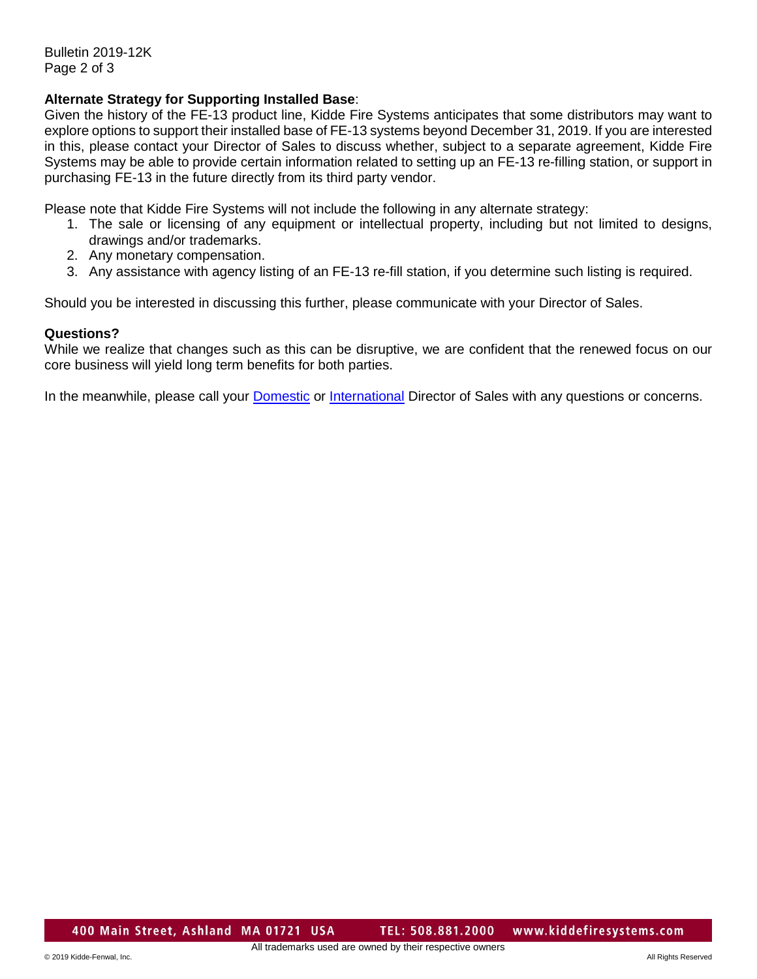Bulletin 2019-12K Page 2 of 3

# **Alternate Strategy for Supporting Installed Base**:

Given the history of the FE-13 product line, Kidde Fire Systems anticipates that some distributors may want to explore options to support their installed base of FE-13 systems beyond December 31, 2019. If you are interested in this, please contact your Director of Sales to discuss whether, subject to a separate agreement, Kidde Fire Systems may be able to provide certain information related to setting up an FE-13 re-filling station, or support in purchasing FE-13 in the future directly from its third party vendor.

Please note that Kidde Fire Systems will not include the following in any alternate strategy:

- 1. The sale or licensing of any equipment or intellectual property, including but not limited to designs, drawings and/or trademarks.
- 2. Any monetary compensation.
- 3. Any assistance with agency listing of an FE-13 re-fill station, if you determine such listing is required.

Should you be interested in discussing this further, please communicate with your Director of Sales.

### **Questions?**

While we realize that changes such as this can be disruptive, we are confident that the renewed focus on our core business will yield long term benefits for both parties.

In the meanwhile, please call your [Domestic](https://kidde-fenwal.com/Documents/DomesticSalesManagers.pdf) or [International](https://kidde-fenwal.com/Documents/InternationalSalesManagers.pdf) Director of Sales with any questions or concerns.